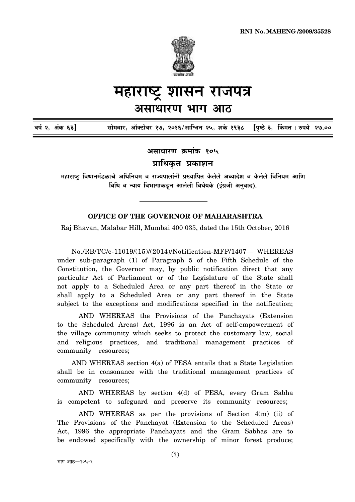

## महाराष्ट्र शासन राजपत्र असाधारण भाग आठ

| वर्ष २, अंक ६३] |  |  | सोमवार, ऑक्टोबर १७, २०१६/आश्विन २५, शके १९३८   [पृष्ठे ३,  किंमत : रुपये  २७.०० |  |  |  |
|-----------------|--|--|---------------------------------------------------------------------------------|--|--|--|
|                 |  |  |                                                                                 |  |  |  |

असाधारण क्रमांक १०५

प्राधिकृत प्रकाशन

महाराष्ट्र विधानमंडळाचे अधिनियम व राज्यपालांनी प्रख्यापित केलेले अध्यादेश व केलेले विनियम आणि विधि व न्याय विभागाकडून आलेली विधेयके (इंग्रजी अनुवाद).

## **OFFICE OF THE GOVERNOR OF MAHARASHTRA**

Raj Bhavan, Malabar Hill, Mumbai 400 035, dated the 15th October, 2016

No./RB/TC/e-11019/(15)/(2014)/Notification-MFP/1407- WHEREAS under sub-paragraph (1) of Paragraph 5 of the Fifth Schedule of the Constitution, the Governor may, by public notification direct that any particular Act of Parliament or of the Legislature of the State shall not apply to a Scheduled Area or any part thereof in the State or shall apply to a Scheduled Area or any part thereof in the State subject to the exceptions and modifications specified in the notification;

AND WHEREAS the Provisions of the Panchayats (Extension to the Scheduled Areas) Act, 1996 is an Act of self-empowerment of the village community which seeks to protect the customary law, social and religious practices, and traditional management practices of community resources;

AND WHEREAS section 4(a) of PESA entails that a State Legislation shall be in consonance with the traditional management practices of community resources;

AND WHEREAS by section 4(d) of PESA, every Gram Sabha is competent to safeguard and preserve its community resources;

AND WHEREAS as per the provisions of Section 4(m) (ii) of The Provisions of the Panchayat (Extension to the Scheduled Areas) Act, 1996 the appropriate Panchayats and the Gram Sabhas are to be endowed specifically with the ownership of minor forest produce;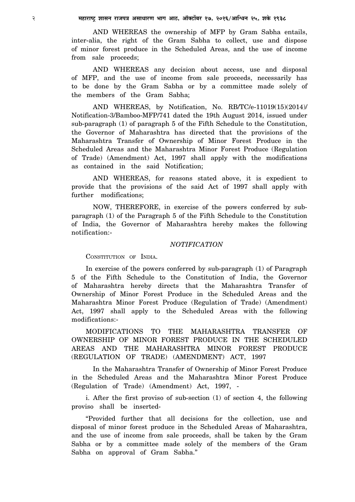AND WHEREAS the ownership of MFP by Gram Sabha entails, inter-alia, the right of the Gram Sabha to collect, use and dispose of minor forest produce in the Scheduled Areas, and the use of income from sale proceeds;

AND WHEREAS any decision about access, use and disposal of MFP, and the use of income from sale proceeds, necessarily has to be done by the Gram Sabha or by a committee made solely of the members of the Gram Sabha;

AND WHEREAS, by Notification, No. RB/TC/e-11019(15)(2014)/ Notification-3/Bamboo-MFP/741 dated the 19th August 2014, issued under sub-paragraph (1) of paragraph 5 of the Fifth Schedule to the Constitution, the Governor of Maharashtra has directed that the provisions of the Maharashtra Transfer of Ownership of Minor Forest Produce in the Scheduled Areas and the Maharashtra Minor Forest Produce (Regulation of Trade) (Amendment) Act, 1997 shall apply with the modifications as contained in the said Notification;

AND WHEREAS, for reasons stated above, it is expedient to provide that the provisions of the said Act of 1997 shall apply with further modifications;

NOW, THEREFORE, in exercise of the powers conferred by subparagraph (1) of the Paragraph 5 of the Fifth Schedule to the Constitution of India, the Governor of Maharashtra hereby makes the following notification:-

## *NOTIFICATION*

CONSTITUTION OF INDIA.

In exercise of the powers conferred by sub-paragraph (1) of Paragraph 5 of the Fifth Schedule to the Constitution of India, the Governor of Maharashtra hereby directs that the Maharashtra Transfer of Ownership of Minor Forest Produce in the Scheduled Areas and the Maharashtra Minor Forest Produce (Regulation of Trade) (Amendment) Act, 1997 shall apply to the Scheduled Areas with the following modifications:-

MODIFICATIONS TO THE MAHARASHTRA TRANSFER OF OWNERSHIP OF MINOR FOREST PRODUCE IN THE SCHEDULED AREAS AND THE MAHARASHTRA MINOR FOREST PRODUCE (REGULATION OF TRADE) (AMENDMENT) ACT, 1997

In the Maharashtra Transfer of Ownership of Minor Forest Produce in the Scheduled Areas and the Maharashtra Minor Forest Produce (Regulation of Trade) (Amendment) Act, 1997, -

i. After the first proviso of sub-section (1) of section 4, the following proviso shall be inserted-

"Provided further that all decisions for the collection, use and disposal of minor forest produce in the Scheduled Areas of Maharashtra, and the use of income from sale proceeds, shall be taken by the Gram Sabha or by a committee made solely of the members of the Gram Sabha on approval of Gram Sabha."